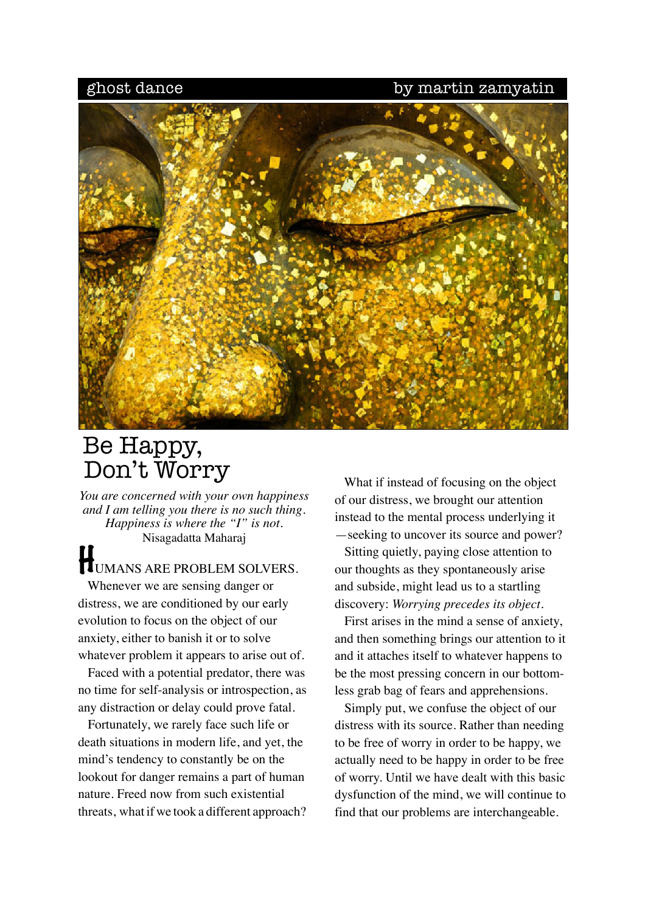## ghost dance by martin zamyating



## Be Happy, Don't Worry

*You are concerned with your own happiness and I am telling you there is no such thing. Happiness is where the "I" is not.*  Nisagadatta Maharaj

## HUMANS ARE PROBLEM SOLVERS.

 Whenever we are sensing danger or distress, we are conditioned by our early evolution to focus on the object of our anxiety, either to banish it or to solve whatever problem it appears to arise out of.

 Faced with a potential predator, there was no time for self-analysis or introspection, as any distraction or delay could prove fatal.

 Fortunately, we rarely face such life or death situations in modern life, and yet, the mind's tendency to constantly be on the lookout for danger remains a part of human nature. Freed now from such existential threats, what if we took a different approach?

 What if instead of focusing on the object of our distress, we brought our attention instead to the mental process underlying it —seeking to uncover its source and power?

 Sitting quietly, paying close attention to our thoughts as they spontaneously arise and subside, might lead us to a startling discovery: *Worrying precedes its object.* 

 First arises in the mind a sense of anxiety, and then something brings our attention to it and it attaches itself to whatever happens to be the most pressing concern in our bottomless grab bag of fears and apprehensions.

 Simply put, we confuse the object of our distress with its source. Rather than needing to be free of worry in order to be happy, we actually need to be happy in order to be free of worry. Until we have dealt with this basic dysfunction of the mind, we will continue to find that our problems are interchangeable.